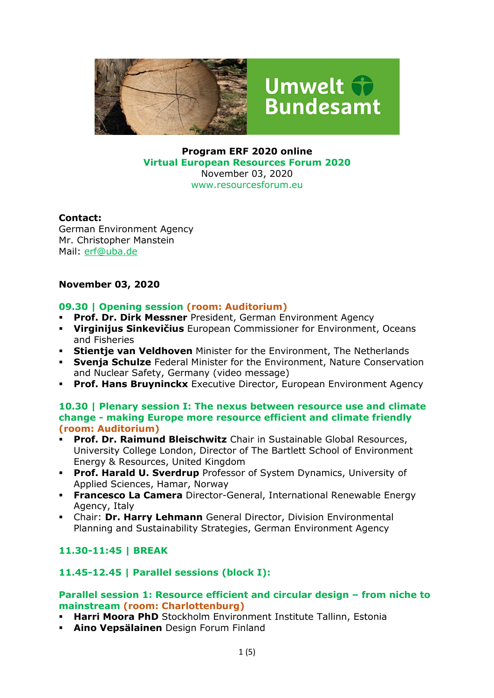

# Umwelt fr **Bundesamt**

**Program ERF 2020 online Virtual European Resources Forum 2020**  November 03, 2020 www.resourcesforum.eu

#### **Contact:**

German Environment Agency Mr. Christopher Manstein Mail: erf@uba.de

### **November 03, 2020**

#### **09.30 | Opening session (room: Auditorium)**

- **Prof. Dr. Dirk Messner** President, German Environment Agency
- **Virginijus Sinkevičius** European Commissioner for Environment, Oceans and Fisheries
- **Stientie van Veldhoven** Minister for the Environment, The Netherlands
- **Svenja Schulze** Federal Minister for the Environment, Nature Conservation and Nuclear Safety, Germany (video message)
- **Prof. Hans Bruyninckx** Executive Director, European Environment Agency

#### **10.30 | Plenary session I: The nexus between resource use and climate change - making Europe more resource efficient and climate friendly (room: Auditorium)**

- **Prof. Dr. Raimund Bleischwitz** Chair in Sustainable Global Resources, University College London, Director of The Bartlett School of Environment Energy & Resources, United Kingdom
- **Prof. Harald U. Sverdrup** Professor of System Dynamics, University of Applied Sciences, Hamar, Norway
- **Francesco La Camera** Director-General, International Renewable Energy Agency, Italy
- Chair: **Dr. Harry Lehmann** General Director, Division Environmental Planning and Sustainability Strategies, German Environment Agency

## **11.30-11:45 | BREAK**

#### **11.45-12.45 | Parallel sessions (block I):**

#### **Parallel session 1: Resource efficient and circular design – from niche to mainstream (room: Charlottenburg)**

- **Harri Moora PhD** Stockholm Environment Institute Tallinn, Estonia
- **Aino Vepsälainen** Design Forum Finland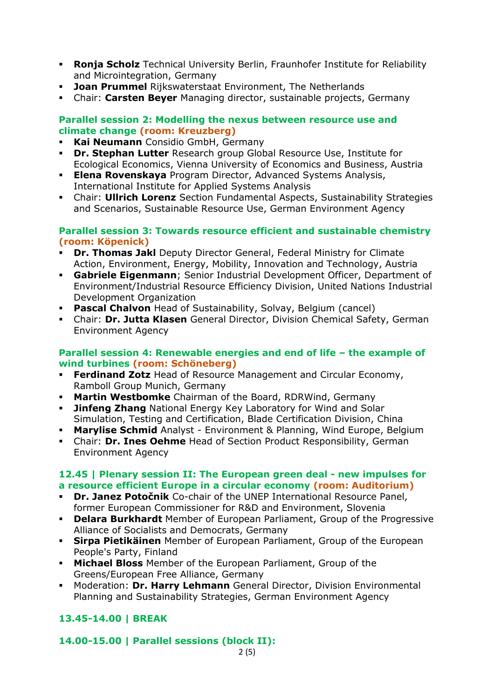- **Ronja Scholz** Technical University Berlin, Fraunhofer Institute for Reliability and Microintegration, Germany
- **Joan Prummel** Rijkswaterstaat Environment, The Netherlands
- Chair: **Carsten Beyer** Managing director, sustainable projects, Germany

#### **Parallel session 2: Modelling the nexus between resource use and climate change (room: Kreuzberg)**

- **Kai Neumann** Considio GmbH, Germany
- **Dr. Stephan Lutter** Research group Global Resource Use, Institute for Ecological Economics, Vienna University of Economics and Business, Austria
- **Elena Rovenskaya** Program Director, Advanced Systems Analysis, International Institute for Applied Systems Analysis
- Chair: **Ullrich Lorenz** Section Fundamental Aspects, Sustainability Strategies and Scenarios, Sustainable Resource Use, German Environment Agency

#### **Parallel session 3: Towards resource efficient and sustainable chemistry (room: Köpenick)**

- **Dr. Thomas Jakl** Deputy Director General, Federal Ministry for Climate Action, Environment, Energy, Mobility, Innovation and Technology, Austria
- **Gabriele Eigenmann**; Senior Industrial Development Officer, Department of Environment/Industrial Resource Efficiency Division, United Nations Industrial Development Organization
- **Pascal Chalvon** Head of Sustainability, Solvay, Belgium (cancel)
- Chair: **Dr. Jutta Klasen** General Director, Division Chemical Safety, German Environment Agency

#### **Parallel session 4: Renewable energies and end of life – the example of wind turbines (room: Schöneberg)**

- **Ferdinand Zotz** Head of Resource Management and Circular Economy, Ramboll Group Munich, Germany
- **Martin Westbomke** Chairman of the Board, RDRWind, Germany
- **Jinfeng Zhang** National Energy Key Laboratory for Wind and Solar Simulation, Testing and Certification, Blade Certification Division, China
- **Marylise Schmid** Analyst Environment & Planning, Wind Europe, Belgium
- Chair: **Dr. Ines Oehme** Head of Section Product Responsibility, German Environment Agency

#### **12.45 | Plenary session II: The European green deal - new impulses for a resource efficient Europe in a circular economy (room: Auditorium)**

- **Dr. Janez Potočnik** Co-chair of the UNEP International Resource Panel, former European Commissioner for R&D and Environment, Slovenia
- **Delara Burkhardt** Member of European Parliament, Group of the Progressive Alliance of Socialists and Democrats, Germany
- **Sirpa Pietikäinen** Member of European Parliament, Group of the European People's Party, Finland
- **Michael Bloss** Member of the European Parliament, Group of the Greens/European Free Alliance, Germany
- Moderation: **Dr. Harry Lehmann** General Director, Division Environmental Planning and Sustainability Strategies, German Environment Agency

# **13.45-14.00 | BREAK**

## **14.00-15.00 | Parallel sessions (block II):**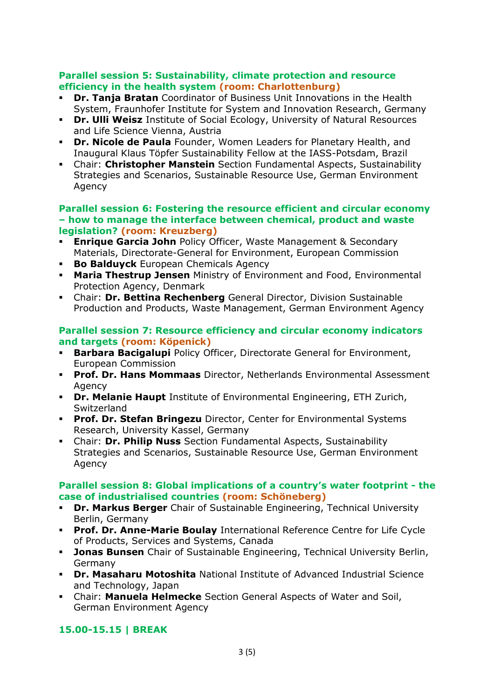#### **Parallel session 5: Sustainability, climate protection and resource efficiency in the health system (room: Charlottenburg)**

- **Dr. Tanja Bratan** Coordinator of Business Unit Innovations in the Health System, Fraunhofer Institute for System and Innovation Research, Germany
- **Dr. Ulli Weisz** Institute of Social Ecology, University of Natural Resources and Life Science Vienna, Austria
- **Dr. Nicole de Paula** Founder, Women Leaders for Planetary Health, and Inaugural Klaus Töpfer Sustainability Fellow at the IASS-Potsdam, Brazil
- Chair: **Christopher Manstein** Section Fundamental Aspects, Sustainability Strategies and Scenarios, Sustainable Resource Use, German Environment Agency

#### **Parallel session 6: Fostering the resource efficient and circular economy – how to manage the interface between chemical, product and waste legislation? (room: Kreuzberg)**

- **Enrique Garcia John** Policy Officer, Waste Management & Secondary Materials, Directorate-General for Environment, European Commission
- **Bo Balduyck** European Chemicals Agency
- **Maria Thestrup Jensen** Ministry of Environment and Food, Environmental Protection Agency, Denmark
- Chair: **Dr. Bettina Rechenberg** General Director, Division Sustainable Production and Products, Waste Management, German Environment Agency

#### **Parallel session 7: Resource efficiency and circular economy indicators and targets (room: Köpenick)**

- **Barbara Bacigalupi** Policy Officer, Directorate General for Environment, European Commission
- **Prof. Dr. Hans Mommaas** Director, Netherlands Environmental Assessment Agency
- **Dr. Melanie Haupt** Institute of Environmental Engineering, ETH Zurich, **Switzerland**
- **Prof. Dr. Stefan Bringezu** Director, Center for Environmental Systems Research, University Kassel, Germany
- Chair: **Dr. Philip Nuss** Section Fundamental Aspects, Sustainability Strategies and Scenarios, Sustainable Resource Use, German Environment Agency

#### **Parallel session 8: Global implications of a country's water footprint - the case of industrialised countries (room: Schöneberg)**

- **Dr. Markus Berger** Chair of Sustainable Engineering, Technical University Berlin, Germany
- **Prof. Dr. Anne-Marie Boulay** International Reference Centre for Life Cycle of Products, Services and Systems, Canada
- **Jonas Bunsen** Chair of Sustainable Engineering, Technical University Berlin, Germany
- **Dr. Masaharu Motoshita** National Institute of Advanced Industrial Science and Technology, Japan
- Chair: **Manuela Helmecke** Section General Aspects of Water and Soil, German Environment Agency

# **15.00-15.15 | BREAK**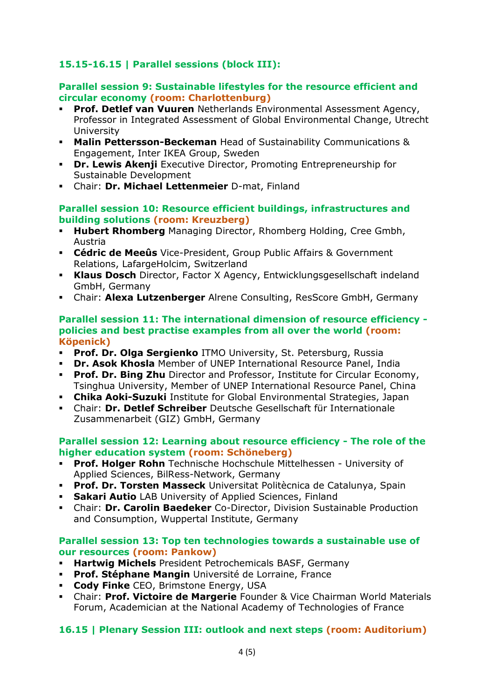## **15.15-16.15 | Parallel sessions (block III):**

#### **Parallel session 9: Sustainable lifestyles for the resource efficient and circular economy (room: Charlottenburg)**

- **Prof. Detlef van Vuuren** Netherlands Environmental Assessment Agency, Professor in Integrated Assessment of Global Environmental Change, Utrecht University
- **Malin Pettersson-Beckeman** Head of Sustainability Communications & Engagement, Inter IKEA Group, Sweden
- **Dr. Lewis Akenji** Executive Director, Promoting Entrepreneurship for Sustainable Development
- Chair: **Dr. Michael Lettenmeier** D-mat, Finland

#### **Parallel session 10: Resource efficient buildings, infrastructures and building solutions (room: Kreuzberg)**

- **Hubert Rhomberg** Managing Director, Rhomberg Holding, Cree Gmbh, Austria
- **Cédric de Meeûs** Vice-President, Group Public Affairs & Government Relations, LafargeHolcim, Switzerland
- **Klaus Dosch** Director, Factor X Agency, Entwicklungsgesellschaft indeland GmbH, Germany
- Chair: **Alexa Lutzenberger** Alrene Consulting, ResScore GmbH, Germany

#### **Parallel session 11: The international dimension of resource efficiency policies and best practise examples from all over the world (room: Köpenick)**

- **Prof. Dr. Olga Sergienko** ITMO University, St. Petersburg, Russia
- **Dr. Asok Khosla** Member of UNEP International Resource Panel, India
- **Prof. Dr. Bing Zhu** Director and Professor, Institute for Circular Economy, Tsinghua University, Member of UNEP International Resource Panel, China
- **Chika Aoki-Suzuki** Institute for Global Environmental Strategies, Japan
- Chair: **Dr. Detlef Schreiber** Deutsche Gesellschaft für Internationale Zusammenarbeit (GIZ) GmbH, Germany

#### **Parallel session 12: Learning about resource efficiency - The role of the higher education system (room: Schöneberg)**

- **Prof. Holger Rohn** Technische Hochschule Mittelhessen University of Applied Sciences, BilRess-Network, Germany
- **Prof. Dr. Torsten Masseck** Universitat Politècnica de Catalunya, Spain
- **Sakari Autio** LAB University of Applied Sciences, Finland
- Chair: **Dr. Carolin Baedeker** Co-Director, Division Sustainable Production and Consumption, Wuppertal Institute, Germany

#### **Parallel session 13: Top ten technologies towards a sustainable use of our resources (room: Pankow)**

- **Hartwig Michels** President Petrochemicals BASF, Germany
- **Prof. Stéphane Mangin** Université de Lorraine, France
- **Cody Finke** CEO, Brimstone Energy, USA
- Chair: **Prof. Victoire de Margerie** Founder & Vice Chairman World Materials Forum, Academician at the National Academy of Technologies of France

# **16.15 | Plenary Session III: outlook and next steps (room: Auditorium)**